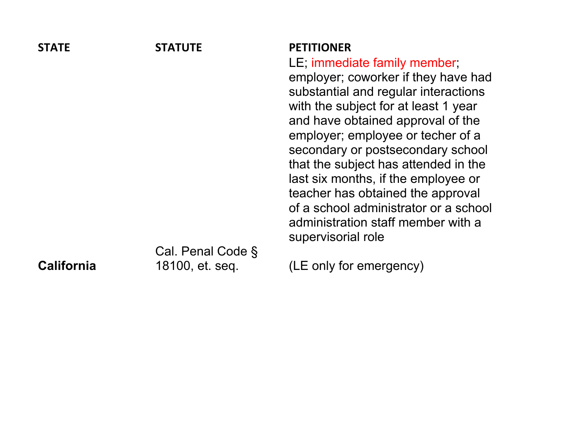| <b>STATE</b>      | <b>STATUTE</b>    | <b>PETITIONER</b>                                                                                                                                                                                                                                                                                                                                                                                                                     |
|-------------------|-------------------|---------------------------------------------------------------------------------------------------------------------------------------------------------------------------------------------------------------------------------------------------------------------------------------------------------------------------------------------------------------------------------------------------------------------------------------|
|                   |                   | LE; immediate family member;                                                                                                                                                                                                                                                                                                                                                                                                          |
|                   |                   | employer; coworker if they have had<br>substantial and regular interactions<br>with the subject for at least 1 year<br>and have obtained approval of the<br>employer; employee or techer of a<br>secondary or postsecondary school<br>that the subject has attended in the<br>last six months, if the employee or<br>teacher has obtained the approval<br>of a school administrator or a school<br>administration staff member with a |
|                   |                   | supervisorial role                                                                                                                                                                                                                                                                                                                                                                                                                    |
|                   | Cal. Penal Code § |                                                                                                                                                                                                                                                                                                                                                                                                                                       |
| <b>California</b> | 18100, et. seg.   | (LE only for emergency)                                                                                                                                                                                                                                                                                                                                                                                                               |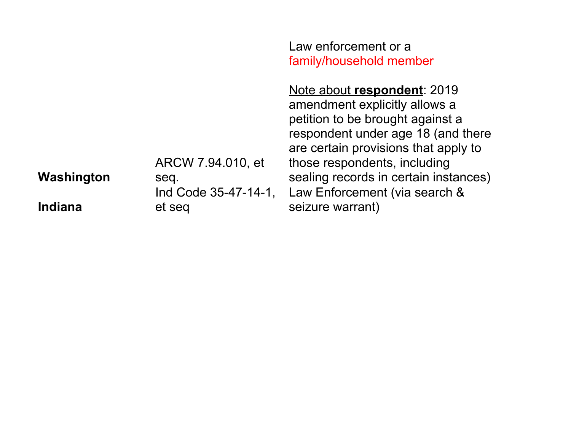|            |                                | Law enforcement or a<br>family/household member                                                                                                                                                                |
|------------|--------------------------------|----------------------------------------------------------------------------------------------------------------------------------------------------------------------------------------------------------------|
|            | ARCW 7.94.010, et              | Note about respondent: 2019<br>amendment explicitly allows a<br>petition to be brought against a<br>respondent under age 18 (and there<br>are certain provisions that apply to<br>those respondents, including |
| Washington | seq.                           | sealing records in certain instances)                                                                                                                                                                          |
| Indiana    | Ind Code 35-47-14-1,<br>et seg | Law Enforcement (via search &<br>seizure warrant)                                                                                                                                                              |
|            |                                |                                                                                                                                                                                                                |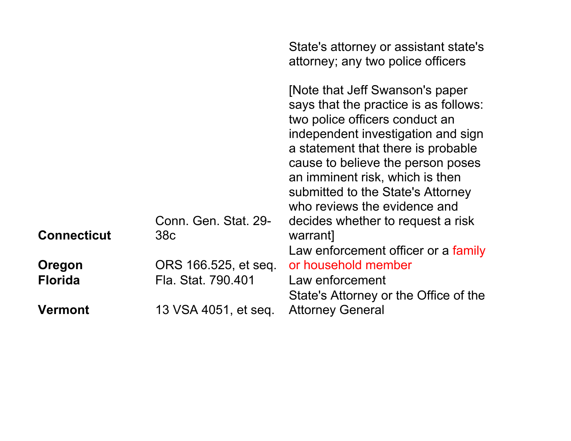|                    |                                         | State's attorney or assistant state's<br>attorney; any two police officers                                                                                                                                                                                                                                                          |
|--------------------|-----------------------------------------|-------------------------------------------------------------------------------------------------------------------------------------------------------------------------------------------------------------------------------------------------------------------------------------------------------------------------------------|
|                    |                                         | [Note that Jeff Swanson's paper<br>says that the practice is as follows:<br>two police officers conduct an<br>independent investigation and sign<br>a statement that there is probable<br>cause to believe the person poses<br>an imminent risk, which is then<br>submitted to the State's Attorney<br>who reviews the evidence and |
| <b>Connecticut</b> | Conn. Gen. Stat. 29-<br>38 <sub>c</sub> | decides whether to request a risk                                                                                                                                                                                                                                                                                                   |
|                    |                                         | warrant]<br>Law enforcement officer or a family                                                                                                                                                                                                                                                                                     |
| Oregon             | ORS 166.525, et seq.                    | or household member                                                                                                                                                                                                                                                                                                                 |
| <b>Florida</b>     | Fla. Stat. 790.401                      | Law enforcement                                                                                                                                                                                                                                                                                                                     |
|                    |                                         | State's Attorney or the Office of the                                                                                                                                                                                                                                                                                               |
| <b>Vermont</b>     | 13 VSA 4051, et seq.                    | <b>Attorney General</b>                                                                                                                                                                                                                                                                                                             |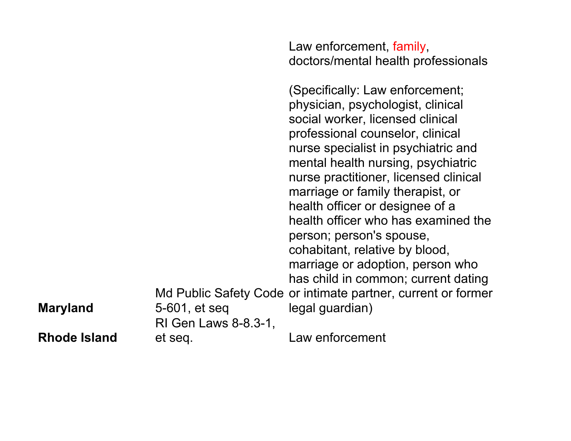**Maryland** Md Public Safety Code or intimate partner, current or former 5-601, et seq doctors/mental health professionals (Specifically: Law enforcement; physician, psychologist, clinical social worker, licensed clinical professional counselor, clinical nurse specialist in psychiatric and mental health nursing, psychiatric nurse practitioner, licensed clinical marriage or family therapist, or health officer or designee of a health officer who has examined the person; person's spouse, cohabitant, relative by blood, marriage or adoption, person who has child in common; current dating legal guardian) **Rhode Island** RI Gen Laws 8-8.3-1, et seq. Law enforcement

Law enforcement, family,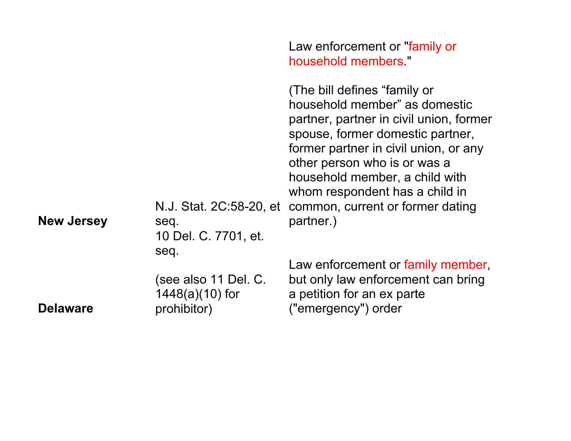|                   |                                                                  | Law enforcement or "family or<br>household members."                                                                                                                                                                                                                                                                                                               |
|-------------------|------------------------------------------------------------------|--------------------------------------------------------------------------------------------------------------------------------------------------------------------------------------------------------------------------------------------------------------------------------------------------------------------------------------------------------------------|
| <b>New Jersey</b> | seq.<br>10 Del. C. 7701, et.                                     | (The bill defines "family or<br>household member" as domestic<br>partner, partner in civil union, former<br>spouse, former domestic partner,<br>former partner in civil union, or any<br>other person who is or was a<br>household member, a child with<br>whom respondent has a child in<br>N.J. Stat. 2C:58-20, et common, current or former dating<br>partner.) |
| <b>Delaware</b>   | seq.<br>(see also 11 Del. C.<br>$1448(a)(10)$ for<br>prohibitor) | Law enforcement or family member,<br>but only law enforcement can bring<br>a petition for an ex parte<br>("emergency") order                                                                                                                                                                                                                                       |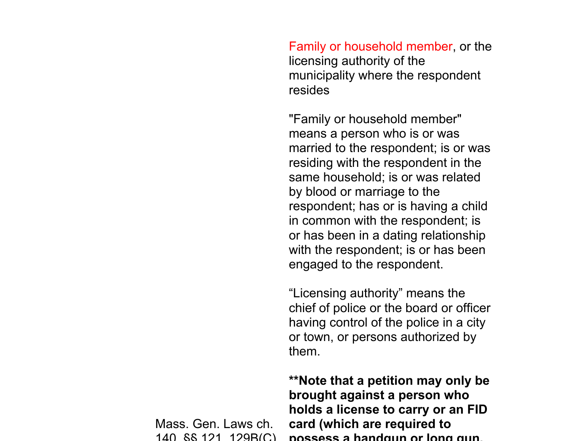Family or household member, or the licensing authority of the municipality where the respondent resides

"Family or household member" means a person who is or was married to the respondent; is or was residing with the respondent in the same household; is or was related by blood or marriage to the respondent; has or is having a child in common with the respondent; is or has been in a dating relationship with the respondent; is or has been engaged to the respondent.

"Licensing authority" means the chief of police or the board or officer having control of the police in a city or town, or persons authorized by them.

**\*\*Note that a petition may only be brought against a person who holds a license to carry or an FID card (which are required to possess a handgun or long gun,** 

Mass. Gen. Laws ch. 140, §§ 121, 129B(C),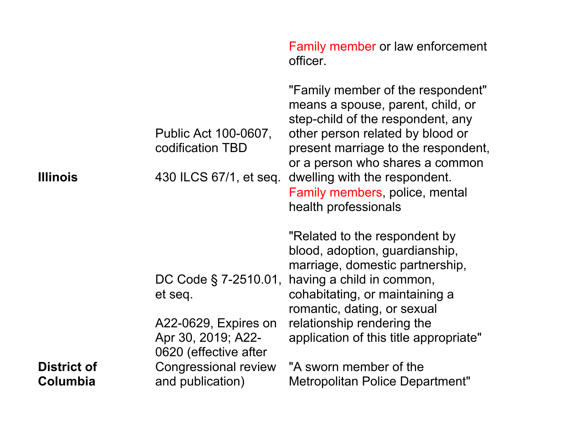|                                |                                                                     | Family member or law enforcement<br>officer.                                                                                                                                                                                                                                                                         |
|--------------------------------|---------------------------------------------------------------------|----------------------------------------------------------------------------------------------------------------------------------------------------------------------------------------------------------------------------------------------------------------------------------------------------------------------|
| <b>Illinois</b>                | Public Act 100-0607,<br>codification TBD<br>430 ILCS 67/1, et seq.  | "Family member of the respondent"<br>means a spouse, parent, child, or<br>step-child of the respondent, any<br>other person related by blood or<br>present marriage to the respondent,<br>or a person who shares a common<br>dwelling with the respondent.<br>Family members, police, mental<br>health professionals |
|                                | DC Code § 7-2510.01,                                                | "Related to the respondent by<br>blood, adoption, guardianship,<br>marriage, domestic partnership,<br>having a child in common,                                                                                                                                                                                      |
|                                | et seq.                                                             | cohabitating, or maintaining a<br>romantic, dating, or sexual                                                                                                                                                                                                                                                        |
|                                | A22-0629, Expires on<br>Apr 30, 2019; A22-<br>0620 (effective after | relationship rendering the<br>application of this title appropriate"                                                                                                                                                                                                                                                 |
| <b>District of</b><br>Columbia | Congressional review<br>and publication)                            | "A sworn member of the<br>Metropolitan Police Department"                                                                                                                                                                                                                                                            |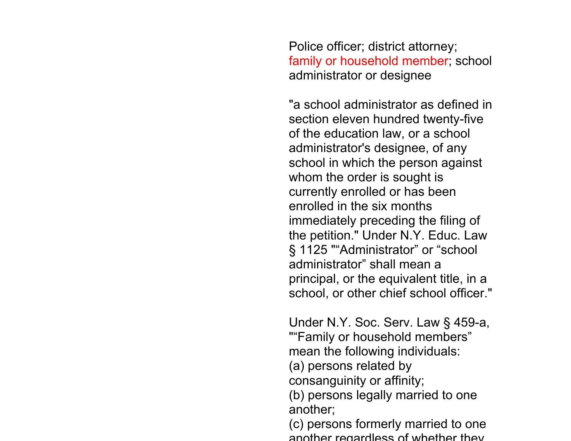Police officer; district attorney; family or household member; school administrator or designee

"a school administrator as defined in section eleven hundred twenty-five of the education law, or a school administrator's designee, of any school in which the person against whom the order is sought is currently enrolled or has been enrolled in the six months immediately preceding the filing of the petition." Under N.Y. Educ. Law § 1125 ""Administrator" or "school administrator" shall mean a principal, or the equivalent title, in a school, or other chief school officer."

Under N.Y. Soc. Serv. Law § 459-a, ""Family or household members" mean the following individuals:

(a) persons related by

consanguinity or affinity;

(b) persons legally married to one another;

(c) persons formerly married to one another regardless of whether they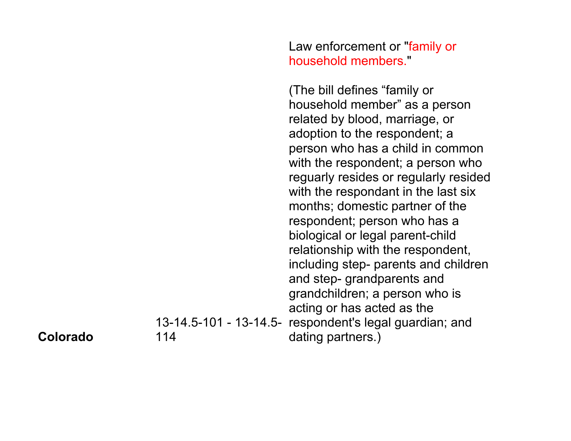Law enforcement or "family or household members."

13-14.5-101 - 13-14.5- respondent's legal guardian; and (The bill defines "family or household member" as a person related by blood, marriage, or adoption to the respondent; a person who has a child in common with the respondent; a person who reguarly resides or regularly resided with the respondant in the last six months; domestic partner of the respondent; person who has a biological or legal parent-child relationship with the respondent, including step- parents and children and step- grandparents and grandchildren; a person who is acting or has acted as the dating partners.)

## **Colorado**

114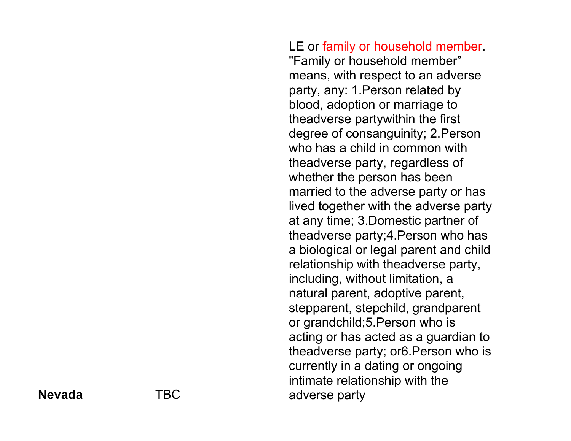LE or family or household member. "Family or household member" means, with respect to an adverse party, any: 1.Person related by blood, adoption or marriage to theadverse partywithin the first degree of consanguinity; 2.Person who has a child in common with theadverse party, regardless of whether the person has been married to the adverse party or has lived together with the adverse party at any time; 3.Domestic partner of theadverse party;4.Person who has a biological or legal parent and child relationship with theadverse party, including, without limitation, a natural parent, adoptive parent, stepparent, stepchild, grandparent or grandchild;5.Person who is acting or has acted as a guardian to theadverse party; or6.Person who is currently in a dating or ongoing intimate relationship with the adverse party

## **Nevada** TBC